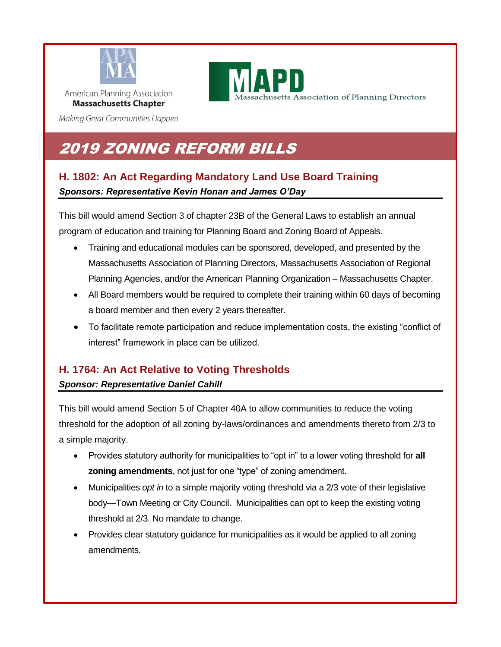

achusetts Association of Planning Directors

Making Great Communities Happen

# 2019 ZONING REFORM BILLS

## **H. 1802: An Act Regarding Mandatory Land Use Board Training** *Sponsors: Representative Kevin Honan and James O'Day*

This bill would amend Section 3 of chapter 23B of the General Laws to establish an annual program of education and training for Planning Board and Zoning Board of Appeals.

- Training and educational modules can be sponsored, developed, and presented by the Massachusetts Association of Planning Directors, Massachusetts Association of Regional Planning Agencies, and/or the American Planning Organization – Massachusetts Chapter.
- All Board members would be required to complete their training within 60 days of becoming a board member and then every 2 years thereafter.
- To facilitate remote participation and reduce implementation costs, the existing "conflict of interest" framework in place can be utilized.

# **H. 1764: An Act Relative to Voting Thresholds**

### *Sponsor: Representative Daniel Cahill*

This bill would amend Section 5 of Chapter 40A to allow communities to reduce the voting threshold for the adoption of all zoning by-laws/ordinances and amendments thereto from 2/3 to a simple majority.

- Provides statutory authority for municipalities to "opt in" to a lower voting threshold for **all zoning amendments**, not just for one "type" of zoning amendment.
- Municipalities *opt in* to a simple majority voting threshold via a 2/3 vote of their legislative body—Town Meeting or City Council. Municipalities can opt to keep the existing voting threshold at 2/3. No mandate to change.
- Provides clear statutory guidance for municipalities as it would be applied to all zoning amendments.